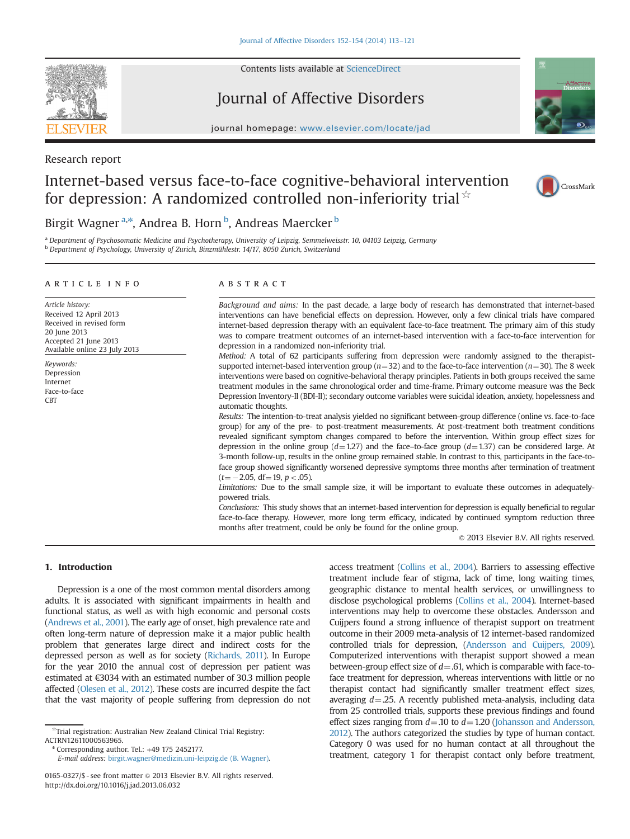

Contents lists available at [ScienceDirect](www.sciencedirect.com/science/journal/01650327)

# Journal of Affective Disorders



journal homepage: <www.elsevier.com/locate/jad>

## Research report

# Internet-based versus face-to-face cognitive-behavioral intervention for depression: A randomized controlled non-inferiority trial  $\dot{\mathbf{x}}$



## Birgit Wagner <sup>a,\*</sup>, Andrea B. Horn <sup>b</sup>, Andreas Maercker <sup>b</sup>

<sup>a</sup> Department of Psychosomatic Medicine and Psychotherapy, University of Leipzig, Semmelweisstr. 10, 04103 Leipzig, Germany b Department of Psychology, University of Zurich, Binzmühlestr. 14/17, 8050 Zurich, Switzerland

## ARTICLE INFO

Article history: Received 12 April 2013 Received in revised form 20 June 2013 Accepted 21 June 2013 Available online 23 July 2013

Keywords: Depression Internet Face-to-face CBT

## **ABSTRACT**

Background and aims: In the past decade, a large body of research has demonstrated that internet-based interventions can have beneficial effects on depression. However, only a few clinical trials have compared internet-based depression therapy with an equivalent face-to-face treatment. The primary aim of this study was to compare treatment outcomes of an internet-based intervention with a face-to-face intervention for depression in a randomized non-inferiority trial.

Method: A total of 62 participants suffering from depression were randomly assigned to the therapistsupported internet-based intervention group ( $n=32$ ) and to the face-to-face intervention ( $n=30$ ). The 8 week interventions were based on cognitive-behavioral therapy principles. Patients in both groups received the same treatment modules in the same chronological order and time-frame. Primary outcome measure was the Beck Depression Inventory-II (BDI-II); secondary outcome variables were suicidal ideation, anxiety, hopelessness and automatic thoughts.

Results: The intention-to-treat analysis yielded no significant between-group difference (online vs. face-to-face group) for any of the pre- to post-treatment measurements. At post-treatment both treatment conditions revealed significant symptom changes compared to before the intervention. Within group effect sizes for depression in the online group ( $d=1.27$ ) and the face–to-face group ( $d=1.37$ ) can be considered large. At 3-month follow-up, results in the online group remained stable. In contrast to this, participants in the face-toface group showed significantly worsened depressive symptoms three months after termination of treatment  $(t = -2.05, df = 19, p < .05)$ .

Limitations: Due to the small sample size, it will be important to evaluate these outcomes in adequatelypowered trials.

Conclusions: This study shows that an internet-based intervention for depression is equally beneficial to regular face-to-face therapy. However, more long term efficacy, indicated by continued symptom reduction three months after treatment, could be only be found for the online group.

 $\odot$  2013 Elsevier B.V. All rights reserved.

## 1. Introduction

Depression is a one of the most common mental disorders among adults. It is associated with significant impairments in health and functional status, as well as with high economic and personal costs [\(Andrews et al., 2001\)](#page-7-0). The early age of onset, high prevalence rate and often long-term nature of depression make it a major public health problem that generates large direct and indirect costs for the depressed person as well as for society [\(Richards, 2011](#page-7-0)). In Europe for the year 2010 the annual cost of depression per patient was estimated at €3034 with an estimated number of 30.3 million people affected [\(Olesen et al., 2012](#page-7-0)). These costs are incurred despite the fact that the vast majority of people suffering from depression do not

\* Corresponding author. Tel.: +49 175 2452177.

E-mail address: [birgit.wagner@medizin.uni-leipzig.de \(B. Wagner\)](mailto:birgit.wagner@medizin.uni-leipzig.de).

access treatment ([Collins et al., 2004](#page-7-0)). Barriers to assessing effective treatment include fear of stigma, lack of time, long waiting times, geographic distance to mental health services, or unwillingness to disclose psychological problems ([Collins et al., 2004](#page-7-0)). Internet-based interventions may help to overcome these obstacles. Andersson and Cuijpers found a strong influence of therapist support on treatment outcome in their 2009 meta-analysis of 12 internet-based randomized controlled trials for depression, [\(Andersson and Cuijpers, 2009\)](#page-7-0). Computerized interventions with therapist support showed a mean between-group effect size of  $d = .61$ , which is comparable with face-toface treatment for depression, whereas interventions with little or no therapist contact had significantly smaller treatment effect sizes, averaging  $d = 0.25$ . A recently published meta-analysis, including data from 25 controlled trials, supports these previous findings and found effect sizes ranging from  $d = .10$  to  $d = 1.20$  [\(Johansson and Andersson,](#page-7-0) [2012\)](#page-7-0). The authors categorized the studies by type of human contact. Category 0 was used for no human contact at all throughout the treatment, category 1 for therapist contact only before treatment,

<sup>☆</sup>Trial registration: Australian New Zealand Clinical Trial Registry: ACTRN12611000563965.

<sup>0165-0327/\$ -</sup> see front matter @ 2013 Elsevier B.V. All rights reserved. <http://dx.doi.org/10.1016/j.jad.2013.06.032>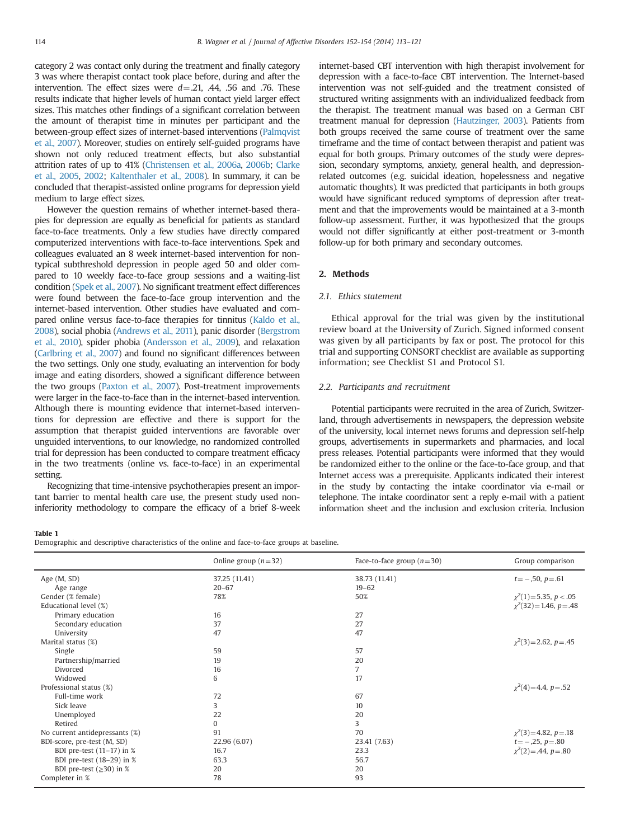<span id="page-1-0"></span>category 2 was contact only during the treatment and finally category 3 was where therapist contact took place before, during and after the intervention. The effect sizes were  $d = .21, .44, .56$  and .76. These results indicate that higher levels of human contact yield larger effect sizes. This matches other findings of a significant correlation between the amount of therapist time in minutes per participant and the between-group effect sizes of internet-based interventions ([Palmqvist](#page-7-0) [et al., 2007\)](#page-7-0). Moreover, studies on entirely self-guided programs have shown not only reduced treatment effects, but also substantial attrition rates of up to 41% ([Christensen et al., 2006a,](#page-7-0) [2006b](#page-7-0); [Clarke](#page-7-0) [et al., 2005](#page-7-0), [2002;](#page-7-0) [Kaltenthaler et al., 2008\)](#page-7-0). In summary, it can be concluded that therapist-assisted online programs for depression yield medium to large effect sizes.

However the question remains of whether internet-based therapies for depression are equally as beneficial for patients as standard face-to-face treatments. Only a few studies have directly compared computerized interventions with face-to-face interventions. Spek and colleagues evaluated an 8 week internet-based intervention for nontypical subthreshold depression in people aged 50 and older compared to 10 weekly face-to-face group sessions and a waiting-list condition [\(Spek et al., 2007\)](#page-8-0). No significant treatment effect differences were found between the face-to-face group intervention and the internet-based intervention. Other studies have evaluated and compared online versus face-to-face therapies for tinnitus [\(Kaldo et al.,](#page-7-0) [2008\)](#page-7-0), social phobia [\(Andrews et al., 2011\)](#page-7-0), panic disorder [\(Bergstrom](#page-7-0) [et al., 2010\)](#page-7-0), spider phobia [\(Andersson et al., 2009](#page-7-0)), and relaxation [\(Carlbring et al., 2007\)](#page-7-0) and found no significant differences between the two settings. Only one study, evaluating an intervention for body image and eating disorders, showed a significant difference between the two groups [\(Paxton et al., 2007](#page-7-0)). Post-treatment improvements were larger in the face-to-face than in the internet-based intervention. Although there is mounting evidence that internet-based interventions for depression are effective and there is support for the assumption that therapist guided interventions are favorable over unguided interventions, to our knowledge, no randomized controlled trial for depression has been conducted to compare treatment efficacy in the two treatments (online vs. face-to-face) in an experimental setting.

Recognizing that time-intensive psychotherapies present an important barrier to mental health care use, the present study used noninferiority methodology to compare the efficacy of a brief 8-week internet-based CBT intervention with high therapist involvement for depression with a face-to-face CBT intervention. The Internet-based intervention was not self-guided and the treatment consisted of structured writing assignments with an individualized feedback from the therapist. The treatment manual was based on a German CBT treatment manual for depression ([Hautzinger, 2003\)](#page-7-0). Patients from both groups received the same course of treatment over the same timeframe and the time of contact between therapist and patient was equal for both groups. Primary outcomes of the study were depression, secondary symptoms, anxiety, general health, and depressionrelated outcomes (e.g. suicidal ideation, hopelessness and negative automatic thoughts). It was predicted that participants in both groups would have significant reduced symptoms of depression after treatment and that the improvements would be maintained at a 3-month follow-up assessment. Further, it was hypothesized that the groups would not differ significantly at either post-treatment or 3-month follow-up for both primary and secondary outcomes.

## 2. Methods

## 2.1. Ethics statement

Ethical approval for the trial was given by the institutional review board at the University of Zurich. Signed informed consent was given by all participants by fax or post. The protocol for this trial and supporting CONSORT checklist are available as supporting information; see Checklist S1 and Protocol S1.

## 2.2. Participants and recruitment

Potential participants were recruited in the area of Zurich, Switzerland, through advertisements in newspapers, the depression website of the university, local internet news forums and depression self-help groups, advertisements in supermarkets and pharmacies, and local press releases. Potential participants were informed that they would be randomized either to the online or the face-to-face group, and that Internet access was a prerequisite. Applicants indicated their interest in the study by contacting the intake coordinator via e-mail or telephone. The intake coordinator sent a reply e-mail with a patient information sheet and the inclusion and exclusion criteria. Inclusion

#### Table 1

Demographic and descriptive characteristics of the online and face-to-face groups at baseline.

|                                | Online group $(n=32)$ | Face-to-face group $(n=30)$ | Group comparison             |
|--------------------------------|-----------------------|-----------------------------|------------------------------|
| Age (M, SD)                    | 37.25 (11.41)         | 38.73 (11.41)               | $t = -.50, p = .61$          |
| Age range                      | $20 - 67$             | $19 - 62$                   |                              |
| Gender (% female)              | 78%                   | 50%                         | $\chi^2(1)$ = 5.35, p < .05  |
| Educational level (%)          |                       |                             | $\chi^2(32) = 1.46, p = .48$ |
| Primary education              | 16                    | 27                          |                              |
| Secondary education            | 37                    | 27                          |                              |
| University                     | 47                    | 47                          |                              |
| Marital status (%)             |                       |                             | $y^2(3)=2.62, p=.45$         |
| Single                         | 59                    | 57                          |                              |
| Partnership/married            | 19                    | 20                          |                              |
| Divorced                       | 16                    | 7                           |                              |
| Widowed                        | 6                     | 17                          |                              |
| Professional status (%)        |                       |                             | $y^2(4)=4.4, p=.52$          |
| Full-time work                 | 72                    | 67                          |                              |
| Sick leave                     | 3                     | 10                          |                              |
| Unemployed                     | 22                    | 20                          |                              |
| Retired                        | $\mathbf{0}$          | 3                           |                              |
| No current antidepressants (%) | 91                    | 70                          | $\chi^2(3)=4.82, p=.18$      |
| BDI-score, pre-test (M, SD)    | 22.96 (6.07)          | 23.41 (7.63)                | $t = -.25, p = .80$          |
| BDI pre-test $(11-17)$ in %    | 16.7                  | 23.3                        | $y^2(2) = .44, p = .80$      |
| BDI pre-test (18-29) in %      | 63.3                  | 56.7                        |                              |
| BDI pre-test $(\geq 30)$ in %  | 20                    | 20                          |                              |
| Completer in %                 | 78                    | 93                          |                              |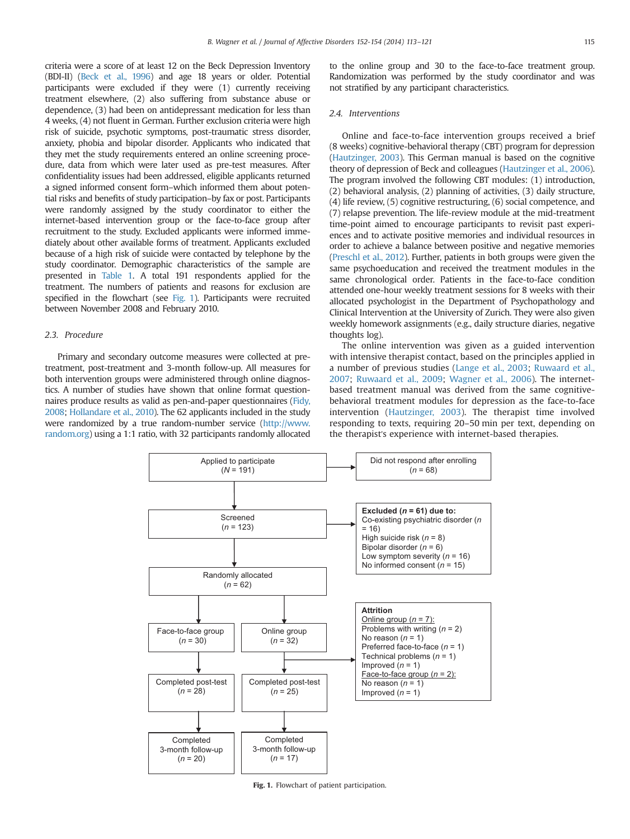<span id="page-2-0"></span>criteria were a score of at least 12 on the Beck Depression Inventory (BDI-II) [\(Beck et al., 1996](#page-7-0)) and age 18 years or older. Potential participants were excluded if they were (1) currently receiving treatment elsewhere, (2) also suffering from substance abuse or dependence, (3) had been on antidepressant medication for less than 4 weeks, (4) not fluent in German. Further exclusion criteria were high risk of suicide, psychotic symptoms, post-traumatic stress disorder, anxiety, phobia and bipolar disorder. Applicants who indicated that they met the study requirements entered an online screening procedure, data from which were later used as pre-test measures. After confidentiality issues had been addressed, eligible applicants returned a signed informed consent form–which informed them about potential risks and benefits of study participation–by fax or post. Participants were randomly assigned by the study coordinator to either the internet-based intervention group or the face-to-face group after recruitment to the study. Excluded applicants were informed immediately about other available forms of treatment. Applicants excluded because of a high risk of suicide were contacted by telephone by the study coordinator. Demographic characteristics of the sample are presented in [Table 1](#page-1-0). A total 191 respondents applied for the treatment. The numbers of patients and reasons for exclusion are specified in the flowchart (see Fig. 1). Participants were recruited between November 2008 and February 2010.

#### 2.3. Procedure

Primary and secondary outcome measures were collected at pretreatment, post-treatment and 3-month follow-up. All measures for both intervention groups were administered through online diagnostics. A number of studies have shown that online format questionnaires produce results as valid as pen-and-paper questionnaires [\(Fidy,](#page-7-0) [2008;](#page-7-0) [Hollandare et al., 2010](#page-7-0)). The 62 applicants included in the study were randomized by a true random-number service [\(http://www.](http://www.random.org) [random.org](http://www.random.org)) using a 1:1 ratio, with 32 participants randomly allocated to the online group and 30 to the face-to-face treatment group. Randomization was performed by the study coordinator and was not stratified by any participant characteristics.

#### 2.4. Interventions

Online and face-to-face intervention groups received a brief (8 weeks) cognitive-behavioral therapy (CBT) program for depression [\(Hautzinger, 2003\)](#page-7-0). This German manual is based on the cognitive theory of depression of Beck and colleagues [\(Hautzinger et al., 2006\)](#page-7-0). The program involved the following CBT modules: (1) introduction, (2) behavioral analysis, (2) planning of activities, (3) daily structure, (4) life review, (5) cognitive restructuring, (6) social competence, and (7) relapse prevention. The life-review module at the mid-treatment time-point aimed to encourage participants to revisit past experiences and to activate positive memories and individual resources in order to achieve a balance between positive and negative memories [\(Preschl et al., 2012](#page-7-0)). Further, patients in both groups were given the same psychoeducation and received the treatment modules in the same chronological order. Patients in the face-to-face condition attended one-hour weekly treatment sessions for 8 weeks with their allocated psychologist in the Department of Psychopathology and Clinical Intervention at the University of Zurich. They were also given weekly homework assignments (e.g., daily structure diaries, negative thoughts log).

The online intervention was given as a guided intervention with intensive therapist contact, based on the principles applied in a number of previous studies ([Lange et al., 2003](#page-7-0); [Ruwaard et al.,](#page-7-0) [2007;](#page-7-0) [Ruwaard et al., 2009;](#page-7-0) [Wagner et al., 2006\)](#page-8-0). The internetbased treatment manual was derived from the same cognitivebehavioral treatment modules for depression as the face-to-face intervention [\(Hautzinger, 2003](#page-7-0)). The therapist time involved responding to texts, requiring 20–50 min per text, depending on the therapist's experience with internet-based therapies.



Fig. 1. Flowchart of patient participation.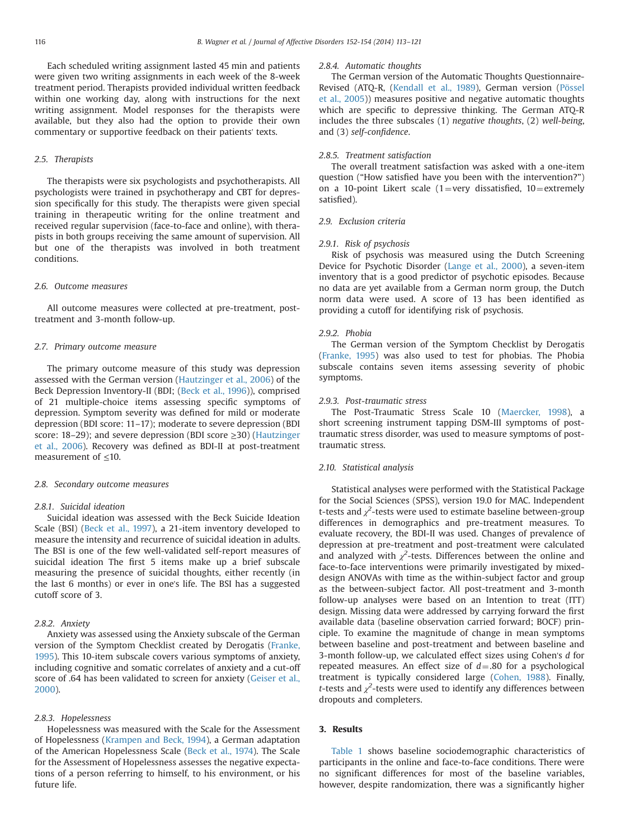Each scheduled writing assignment lasted 45 min and patients were given two writing assignments in each week of the 8-week treatment period. Therapists provided individual written feedback within one working day, along with instructions for the next writing assignment. Model responses for the therapists were available, but they also had the option to provide their own commentary or supportive feedback on their patients' texts.

## 2.5. Therapists

The therapists were six psychologists and psychotherapists. All psychologists were trained in psychotherapy and CBT for depression specifically for this study. The therapists were given special training in therapeutic writing for the online treatment and received regular supervision (face-to-face and online), with therapists in both groups receiving the same amount of supervision. All but one of the therapists was involved in both treatment conditions.

#### 2.6. Outcome measures

All outcome measures were collected at pre-treatment, posttreatment and 3-month follow-up.

#### 2.7. Primary outcome measure

The primary outcome measure of this study was depression assessed with the German version ([Hautzinger et al., 2006\)](#page-7-0) of the Beck Depression Inventory-II (BDI; [\(Beck et al., 1996](#page-7-0))), comprised of 21 multiple-choice items assessing specific symptoms of depression. Symptom severity was defined for mild or moderate depression (BDI score: 11–17); moderate to severe depression (BDI score: 18–29); and severe depression (BDI score  $\geq$ 30) ([Hautzinger](#page-7-0) [et al., 2006](#page-7-0)). Recovery was defined as BDI-II at post-treatment measurement of  $\leq 10$ .

#### 2.8. Secondary outcome measures

## 2.8.1. Suicidal ideation

Suicidal ideation was assessed with the Beck Suicide Ideation Scale (BSI) ([Beck et al., 1997\)](#page-7-0), a 21-item inventory developed to measure the intensity and recurrence of suicidal ideation in adults. The BSI is one of the few well-validated self-report measures of suicidal ideation The first 5 items make up a brief subscale measuring the presence of suicidal thoughts, either recently (in the last 6 months) or ever in one's life. The BSI has a suggested cutoff score of 3.

#### 2.8.2. Anxiety

Anxiety was assessed using the Anxiety subscale of the German version of the Symptom Checklist created by Derogatis [\(Franke,](#page-7-0) [1995](#page-7-0)). This 10-item subscale covers various symptoms of anxiety, including cognitive and somatic correlates of anxiety and a cut-off score of .64 has been validated to screen for anxiety ([Geiser et al.,](#page-7-0) [2000](#page-7-0)).

#### 2.8.3. Hopelessness

Hopelessness was measured with the Scale for the Assessment of Hopelessness ([Krampen and Beck, 1994\)](#page-7-0), a German adaptation of the American Hopelessness Scale [\(Beck et al., 1974](#page-7-0)). The Scale for the Assessment of Hopelessness assesses the negative expectations of a person referring to himself, to his environment, or his future life.

#### 2.8.4. Automatic thoughts

The German version of the Automatic Thoughts Questionnaire-Revised (ATQ-R, ([Kendall et al., 1989\)](#page-7-0), German version [\(Pössel](#page-7-0) [et al., 2005\)](#page-7-0)) measures positive and negative automatic thoughts which are specific to depressive thinking. The German ATQ-R includes the three subscales (1) negative thoughts, (2) well-being, and (3) self-confidence.

#### 2.8.5. Treatment satisfaction

The overall treatment satisfaction was asked with a one-item question ("How satisfied have you been with the intervention?") on a 10-point Likert scale (1=very dissatisfied, 10=extremely satisfied).

#### 2.9. Exclusion criteria

#### 2.9.1. Risk of psychosis

Risk of psychosis was measured using the Dutch Screening Device for Psychotic Disorder [\(Lange et al., 2000\)](#page-7-0), a seven-item inventory that is a good predictor of psychotic episodes. Because no data are yet available from a German norm group, the Dutch norm data were used. A score of 13 has been identified as providing a cutoff for identifying risk of psychosis.

#### 2.9.2. Phobia

The German version of the Symptom Checklist by Derogatis ([Franke, 1995\)](#page-7-0) was also used to test for phobias. The Phobia subscale contains seven items assessing severity of phobic symptoms.

#### 2.9.3. Post-traumatic stress

The Post-Traumatic Stress Scale 10 [\(Maercker, 1998](#page-7-0)), a short screening instrument tapping DSM-III symptoms of posttraumatic stress disorder, was used to measure symptoms of posttraumatic stress.

#### 2.10. Statistical analysis

Statistical analyses were performed with the Statistical Package for the Social Sciences (SPSS), version 19.0 for MAC. Independent t-tests and  $\chi^2$ -tests were used to estimate baseline between-group differences in demographics and pre-treatment measures. To evaluate recovery, the BDI-II was used. Changes of prevalence of depression at pre-treatment and post-treatment were calculated and analyzed with  $\chi^2$ -tests. Differences between the online and face-to-face interventions were primarily investigated by mixeddesign ANOVAs with time as the within-subject factor and group as the between-subject factor. All post-treatment and 3-month follow-up analyses were based on an Intention to treat (ITT) design. Missing data were addressed by carrying forward the first available data (baseline observation carried forward; BOCF) principle. To examine the magnitude of change in mean symptoms between baseline and post-treatment and between baseline and 3-month follow-up, we calculated effect sizes using Cohen's d for repeated measures. An effect size of  $d = .80$  for a psychological treatment is typically considered large ([Cohen, 1988\)](#page-7-0). Finally, *t*-tests and  $\chi^2$ -tests were used to identify any differences between dropouts and completers.

#### 3. Results

[Table 1](#page-1-0) shows baseline sociodemographic characteristics of participants in the online and face-to-face conditions. There were no significant differences for most of the baseline variables, however, despite randomization, there was a significantly higher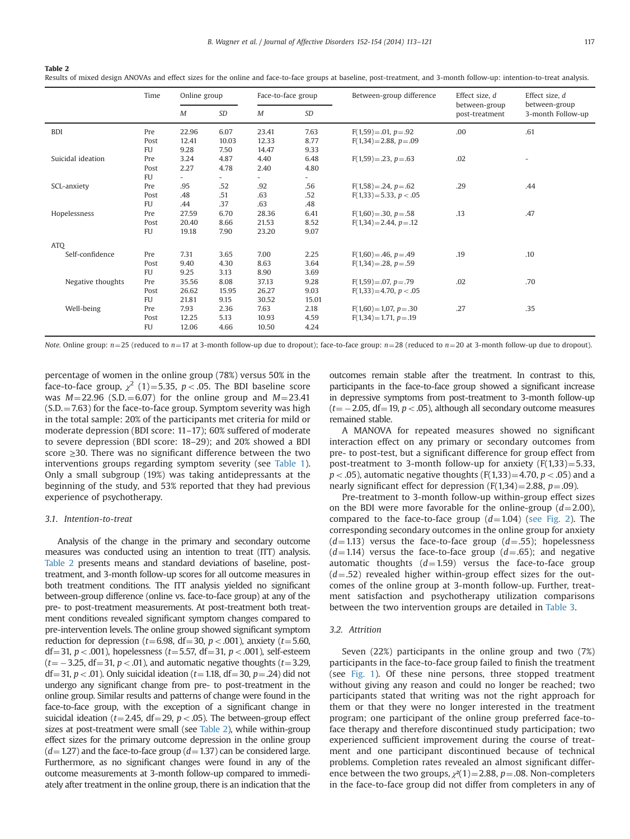Table 2 Results of mixed design ANOVAs and effect sizes for the online and face-to-face groups at baseline, post-treatment, and 3-month follow-up: intention-to-treat analysis.

|                   | Time      | Online group             |       | Face-to-face group |       | Between-group difference  | Effect size, d                  | Effect size, d                     |
|-------------------|-----------|--------------------------|-------|--------------------|-------|---------------------------|---------------------------------|------------------------------------|
|                   |           | $\cal M$                 | SD    | $M_{\rm}$          | SD    |                           | between-group<br>post-treatment | between-group<br>3-month Follow-up |
| <b>BDI</b>        | Pre       | 22.96                    | 6.07  | 23.41              | 7.63  | $F(1,59) = .01, p = .92$  | .00                             | .61                                |
|                   | Post      | 12.41                    | 10.03 | 12.33              | 8.77  | $F(1,34) = 2.88, p = .09$ |                                 |                                    |
|                   | <b>FU</b> | 9.28                     | 7.50  | 14.47              | 9.33  |                           |                                 |                                    |
| Suicidal ideation | Pre       | 3.24                     | 4.87  | 4.40               | 6.48  | $F(1,59) = .23, p = .63$  | .02                             | $\overline{\phantom{a}}$           |
|                   | Post      | 2.27                     | 4.78  | 2.40               | 4.80  |                           |                                 |                                    |
|                   | <b>FU</b> | $\overline{\phantom{0}}$ |       |                    |       |                           |                                 |                                    |
| SCL-anxiety       | Pre       | .95                      | .52   | .92                | .56   | $F(1,58) = .24, p = .62$  | .29                             | .44                                |
|                   | Post      | .48                      | .51   | .63                | .52   | $F(1,33) = 5.33, p < .05$ |                                 |                                    |
|                   | <b>FU</b> | .44                      | .37   | .63                | .48   |                           |                                 |                                    |
| Hopelessness      | Pre       | 27.59                    | 6.70  | 28.36              | 6.41  | $F(1,60) = .30, p = .58$  | .13                             | .47                                |
|                   | Post      | 20.40                    | 8.66  | 21.53              | 8.52  | $F(1,34) = 2,44, p = .12$ |                                 |                                    |
|                   | <b>FU</b> | 19.18                    | 7.90  | 23.20              | 9.07  |                           |                                 |                                    |
| <b>ATQ</b>        |           |                          |       |                    |       |                           |                                 |                                    |
| Self-confidence   | Pre       | 7.31                     | 3.65  | 7.00               | 2.25  | $F(1,60) = .46, p = .49$  | .19                             | .10                                |
|                   | Post      | 9.40                     | 4.30  | 8.63               | 3.64  | $F(1,34) = .28, p = .59$  |                                 |                                    |
|                   | <b>FU</b> | 9.25                     | 3.13  | 8.90               | 3.69  |                           |                                 |                                    |
| Negative thoughts | Pre       | 35.56                    | 8.08  | 37.13              | 9.28  | $F(1,59) = .07, p = .79$  | .02                             | .70                                |
|                   | Post      | 26.62                    | 15.95 | 26.27              | 9.03  | $F(1,33)=4.70, p < .05$   |                                 |                                    |
|                   | <b>FU</b> | 21.81                    | 9.15  | 30.52              | 15.01 |                           |                                 |                                    |
| Well-being        | Pre       | 7.93                     | 2.36  | 7.63               | 2.18  | $F(1,60) = 1,07, p = .30$ | .27                             | .35                                |
|                   | Post      | 12.25                    | 5.13  | 10.93              | 4.59  | $F(1,34) = 1.71, p = .19$ |                                 |                                    |
|                   | <b>FU</b> | 12.06                    | 4.66  | 10.50              | 4.24  |                           |                                 |                                    |

Note. Online group:  $n=25$  (reduced to  $n=17$  at 3-month follow-up due to dropout); face-to-face group:  $n=28$  (reduced to  $n=20$  at 3-month follow-up due to dropout).

percentage of women in the online group (78%) versus 50% in the face-to-face group,  $\chi^2$  (1)=5.35, p < .05. The BDI baseline score was  $M=22.96$  (S.D. $=6.07$ ) for the online group and  $M=23.41$  $(S.D. = 7.63)$  for the face-to-face group. Symptom severity was high in the total sample: 20% of the participants met criteria for mild or moderate depression (BDI score: 11–17); 60% suffered of moderate to severe depression (BDI score: 18–29); and 20% showed a BDI score ≥30. There was no significant difference between the two interventions groups regarding symptom severity (see [Table 1\)](#page-1-0). Only a small subgroup (19%) was taking antidepressants at the beginning of the study, and 53% reported that they had previous experience of psychotherapy.

#### 3.1. Intention-to-treat

Analysis of the change in the primary and secondary outcome measures was conducted using an intention to treat (ITT) analysis. Table 2 presents means and standard deviations of baseline, posttreatment, and 3-month follow-up scores for all outcome measures in both treatment conditions. The ITT analysis yielded no significant between-group difference (online vs. face-to-face group) at any of the pre- to post-treatment measurements. At post-treatment both treatment conditions revealed significant symptom changes compared to pre-intervention levels. The online group showed significant symptom reduction for depression ( $t=6.98$ , df=30,  $p < .001$ ), anxiety ( $t=5.60$ , df = 31,  $p < .001$ ), hopelessness (t = 5.57, df = 31,  $p < .001$ ), self-esteem  $(t = -3.25, df = 31, p < .01)$ , and automatic negative thoughts  $(t = 3.29,$ df = 31,  $p < .01$ ). Only suicidal ideation (t = 1.18, df = 30, p = .24) did not undergo any significant change from pre- to post-treatment in the online group. Similar results and patterns of change were found in the face-to-face group, with the exception of a significant change in suicidal ideation ( $t=2.45$ , df=29,  $p<0.05$ ). The between-group effect sizes at post-treatment were small (see Table 2), while within-group effect sizes for the primary outcome depression in the online group  $(d=1.27)$  and the face-to-face group  $(d=1.37)$  can be considered large. Furthermore, as no significant changes were found in any of the outcome measurements at 3-month follow-up compared to immediately after treatment in the online group, there is an indication that the outcomes remain stable after the treatment. In contrast to this, participants in the face-to-face group showed a significant increase in depressive symptoms from post-treatment to 3-month follow-up  $(t = -2.05, df = 19, p < .05)$ , although all secondary outcome measures remained stable.

A MANOVA for repeated measures showed no significant interaction effect on any primary or secondary outcomes from pre- to post-test, but a significant difference for group effect from post-treatment to 3-month follow-up for anxiety  $(F(1,33)=5.33,$  $p<.05$ ), automatic negative thoughts (F(1,33)=4.70,  $p<.05$ ) and a nearly significant effect for depression  $(F(1,34)=2.88, p=.09)$ .

Pre-treatment to 3-month follow-up within-group effect sizes on the BDI were more favorable for the online-group  $(d=2.00)$ , compared to the face-to-face group  $(d=1.04)$  [\(see Fig. 2](#page-5-0)). The corresponding secondary outcomes in the online group for anxiety  $(d=1.13)$  versus the face-to-face group  $(d=.55)$ ; hopelessness  $(d=1.14)$  versus the face-to-face group  $(d=.65)$ ; and negative automatic thoughts  $(d=1.59)$  versus the face-to-face group  $(d=0.52)$  revealed higher within-group effect sizes for the outcomes of the online group at 3-month follow-up. Further, treatment satisfaction and psychotherapy utilization comparisons between the two intervention groups are detailed in [Table 3.](#page-5-0)

## 3.2. Attrition

Seven (22%) participants in the online group and two (7%) participants in the face-to-face group failed to finish the treatment (see [Fig. 1\)](#page-2-0). Of these nine persons, three stopped treatment without giving any reason and could no longer be reached; two participants stated that writing was not the right approach for them or that they were no longer interested in the treatment program; one participant of the online group preferred face-toface therapy and therefore discontinued study participation; two experienced sufficient improvement during the course of treatment and one participant discontinued because of technical problems. Completion rates revealed an almost significant difference between the two groups,  $\chi^2(1)=2.88$ ,  $p=.08$ . Non-completers in the face-to-face group did not differ from completers in any of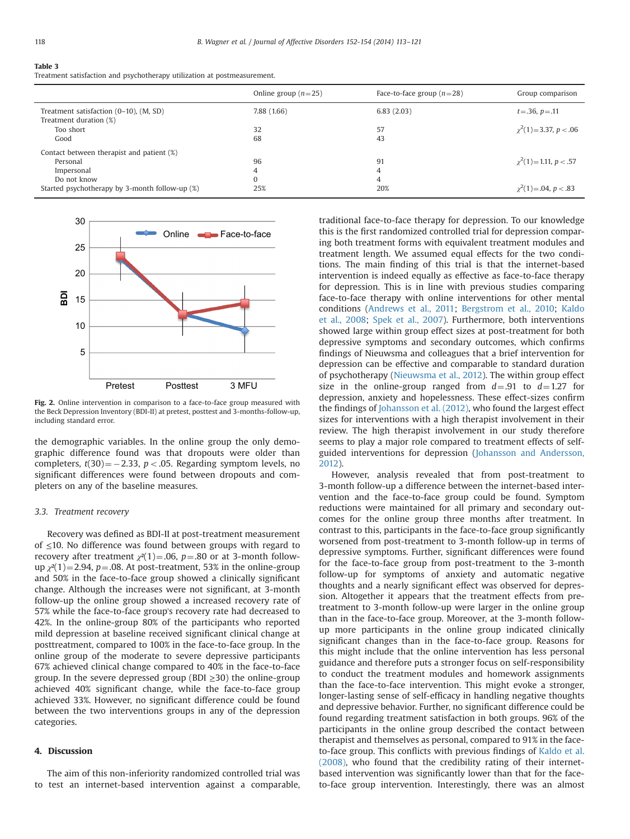<span id="page-5-0"></span>Treatment satisfaction and psychotherapy utilization at postmeasurement.

|                                                                  | Online group $(n=25)$ | Face-to-face group $(n=28)$ | Group comparison            |
|------------------------------------------------------------------|-----------------------|-----------------------------|-----------------------------|
| Treatment satisfaction (0–10), (M, SD)<br>Treatment duration (%) | 7.88 (1.66)           | 6.83(2.03)                  | $t = .36, p = .11$          |
| Too short                                                        | 32                    | 57                          | $\chi^2(1)$ = 3.37, p < .06 |
| Good                                                             | 68                    | 43                          |                             |
| Contact between therapist and patient (%)                        |                       |                             |                             |
| Personal                                                         | 96                    | 91                          | $\chi^2(1)$ = 1.11, p < .57 |
| Impersonal                                                       | 4                     | $\overline{4}$              |                             |
| Do not know                                                      | 0                     | $\overline{4}$              |                             |
| Started psychotherapy by 3-month follow-up (%)                   | 25%                   | 20%                         | $y^2(1) = 0.04, p < 0.83$   |



Fig. 2. Online intervention in comparison to a face-to-face group measured with the Beck Depression Inventory (BDI-II) at pretest, posttest and 3-months-follow-up, including standard error.

the demographic variables. In the online group the only demographic difference found was that dropouts were older than completers,  $t(30) = -2.33$ ,  $p < .05$ . Regarding symptom levels, no significant differences were found between dropouts and completers on any of the baseline measures.

#### 3.3. Treatment recovery

Recovery was defined as BDI-II at post-treatment measurement of ≤10. No difference was found between groups with regard to recovery after treatment  $\chi^2(1) = .06$ ,  $p = .80$  or at 3-month followup  $\chi^2(1)$  = 2.94, p = 0.08. At post-treatment, 53% in the online-group and 50% in the face-to-face group showed a clinically significant change. Although the increases were not significant, at 3-month follow-up the online group showed a increased recovery rate of 57% while the face-to-face group's recovery rate had decreased to 42%. In the online-group 80% of the participants who reported mild depression at baseline received significant clinical change at posttreatment, compared to 100% in the face-to-face group. In the online group of the moderate to severe depressive participants 67% achieved clinical change compared to 40% in the face-to-face group. In the severe depressed group (BDI  $\geq$ 30) the online-group achieved 40% significant change, while the face-to-face group achieved 33%. However, no significant difference could be found between the two interventions groups in any of the depression categories.

## 4. Discussion

The aim of this non-inferiority randomized controlled trial was to test an internet-based intervention against a comparable, traditional face-to-face therapy for depression. To our knowledge this is the first randomized controlled trial for depression comparing both treatment forms with equivalent treatment modules and treatment length. We assumed equal effects for the two conditions. The main finding of this trial is that the internet-based intervention is indeed equally as effective as face-to-face therapy for depression. This is in line with previous studies comparing face-to-face therapy with online interventions for other mental conditions [\(Andrews et al., 2011;](#page-7-0) [Bergstrom et al., 2010](#page-7-0); [Kaldo](#page-7-0) [et al., 2008](#page-7-0); [Spek et al., 2007](#page-8-0)). Furthermore, both interventions showed large within group effect sizes at post-treatment for both depressive symptoms and secondary outcomes, which confirms findings of Nieuwsma and colleagues that a brief intervention for depression can be effective and comparable to standard duration of psychotherapy [\(Nieuwsma et al., 2012](#page-7-0)). The within group effect size in the online-group ranged from  $d = .91$  to  $d = 1.27$  for depression, anxiety and hopelessness. These effect-sizes confirm the findings of [Johansson et al. \(2012\),](#page-7-0) who found the largest effect sizes for interventions with a high therapist involvement in their review. The high therapist involvement in our study therefore seems to play a major role compared to treatment effects of selfguided interventions for depression ([Johansson and Andersson,](#page-7-0) [2012](#page-7-0)).

However, analysis revealed that from post-treatment to 3-month follow-up a difference between the internet-based intervention and the face-to-face group could be found. Symptom reductions were maintained for all primary and secondary outcomes for the online group three months after treatment. In contrast to this, participants in the face-to-face group significantly worsened from post-treatment to 3-month follow-up in terms of depressive symptoms. Further, significant differences were found for the face-to-face group from post-treatment to the 3-month follow-up for symptoms of anxiety and automatic negative thoughts and a nearly significant effect was observed for depression. Altogether it appears that the treatment effects from pretreatment to 3-month follow-up were larger in the online group than in the face-to-face group. Moreover, at the 3-month followup more participants in the online group indicated clinically significant changes than in the face-to-face group. Reasons for this might include that the online intervention has less personal guidance and therefore puts a stronger focus on self-responsibility to conduct the treatment modules and homework assignments than the face-to-face intervention. This might evoke a stronger, longer-lasting sense of self-efficacy in handling negative thoughts and depressive behavior. Further, no significant difference could be found regarding treatment satisfaction in both groups. 96% of the participants in the online group described the contact between therapist and themselves as personal, compared to 91% in the faceto-face group. This conflicts with previous findings of [Kaldo et al.](#page-7-0) [\(2008\)](#page-7-0), who found that the credibility rating of their internetbased intervention was significantly lower than that for the faceto-face group intervention. Interestingly, there was an almost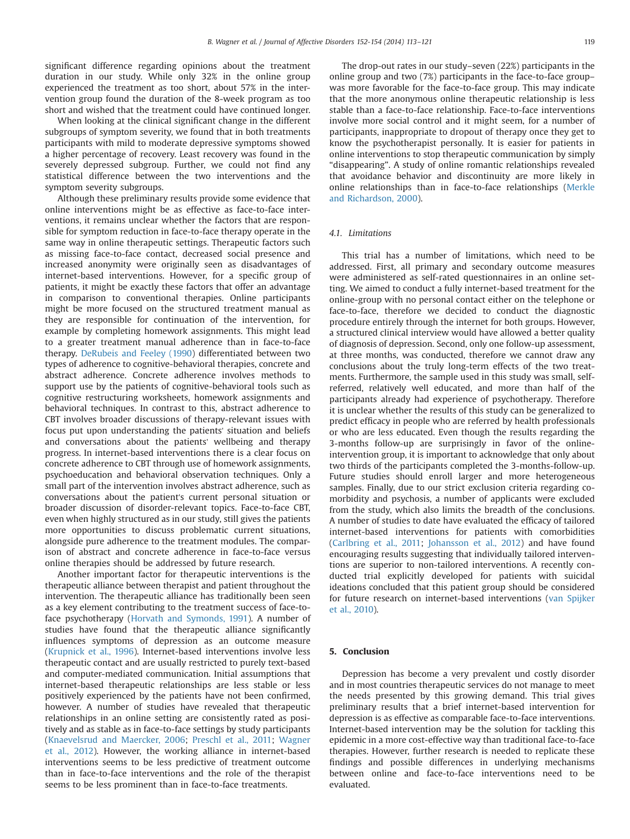significant difference regarding opinions about the treatment duration in our study. While only 32% in the online group experienced the treatment as too short, about 57% in the intervention group found the duration of the 8-week program as too short and wished that the treatment could have continued longer.

When looking at the clinical significant change in the different subgroups of symptom severity, we found that in both treatments participants with mild to moderate depressive symptoms showed a higher percentage of recovery. Least recovery was found in the severely depressed subgroup. Further, we could not find any statistical difference between the two interventions and the symptom severity subgroups.

Although these preliminary results provide some evidence that online interventions might be as effective as face-to-face interventions, it remains unclear whether the factors that are responsible for symptom reduction in face-to-face therapy operate in the same way in online therapeutic settings. Therapeutic factors such as missing face-to-face contact, decreased social presence and increased anonymity were originally seen as disadvantages of internet-based interventions. However, for a specific group of patients, it might be exactly these factors that offer an advantage in comparison to conventional therapies. Online participants might be more focused on the structured treatment manual as they are responsible for continuation of the intervention, for example by completing homework assignments. This might lead to a greater treatment manual adherence than in face-to-face therapy. [DeRubeis and Feeley \(1990](#page-7-0)) differentiated between two types of adherence to cognitive-behavioral therapies, concrete and abstract adherence. Concrete adherence involves methods to support use by the patients of cognitive-behavioral tools such as cognitive restructuring worksheets, homework assignments and behavioral techniques. In contrast to this, abstract adherence to CBT involves broader discussions of therapy-relevant issues with focus put upon understanding the patients' situation and beliefs and conversations about the patients' wellbeing and therapy progress. In internet-based interventions there is a clear focus on concrete adherence to CBT through use of homework assignments, psychoeducation and behavioral observation techniques. Only a small part of the intervention involves abstract adherence, such as conversations about the patient's current personal situation or broader discussion of disorder-relevant topics. Face-to-face CBT, even when highly structured as in our study, still gives the patients more opportunities to discuss problematic current situations, alongside pure adherence to the treatment modules. The comparison of abstract and concrete adherence in face-to-face versus online therapies should be addressed by future research.

Another important factor for therapeutic interventions is the therapeutic alliance between therapist and patient throughout the intervention. The therapeutic alliance has traditionally been seen as a key element contributing to the treatment success of face-toface psychotherapy ([Horvath and Symonds, 1991](#page-7-0)). A number of studies have found that the therapeutic alliance significantly influences symptoms of depression as an outcome measure ([Krupnick et al., 1996](#page-7-0)). Internet-based interventions involve less therapeutic contact and are usually restricted to purely text-based and computer-mediated communication. Initial assumptions that internet-based therapeutic relationships are less stable or less positively experienced by the patients have not been confirmed, however. A number of studies have revealed that therapeutic relationships in an online setting are consistently rated as positively and as stable as in face-to-face settings by study participants ([Knaevelsrud and Maercker, 2006](#page-7-0); [Preschl et al., 2011;](#page-7-0) [Wagner](#page-8-0) [et al., 2012](#page-8-0)). However, the working alliance in internet-based interventions seems to be less predictive of treatment outcome than in face-to-face interventions and the role of the therapist seems to be less prominent than in face-to-face treatments.

The drop-out rates in our study–seven (22%) participants in the online group and two (7%) participants in the face-to-face group– was more favorable for the face-to-face group. This may indicate that the more anonymous online therapeutic relationship is less stable than a face-to-face relationship. Face-to-face interventions involve more social control and it might seem, for a number of participants, inappropriate to dropout of therapy once they get to know the psychotherapist personally. It is easier for patients in online interventions to stop therapeutic communication by simply "disappearing". A study of online romantic relationships revealed that avoidance behavior and discontinuity are more likely in online relationships than in face-to-face relationships ([Merkle](#page-7-0) [and Richardson, 2000\)](#page-7-0).

#### 4.1. Limitations

This trial has a number of limitations, which need to be addressed. First, all primary and secondary outcome measures were administered as self-rated questionnaires in an online setting. We aimed to conduct a fully internet-based treatment for the online-group with no personal contact either on the telephone or face-to-face, therefore we decided to conduct the diagnostic procedure entirely through the internet for both groups. However, a structured clinical interview would have allowed a better quality of diagnosis of depression. Second, only one follow-up assessment, at three months, was conducted, therefore we cannot draw any conclusions about the truly long-term effects of the two treatments. Furthermore, the sample used in this study was small, selfreferred, relatively well educated, and more than half of the participants already had experience of psychotherapy. Therefore it is unclear whether the results of this study can be generalized to predict efficacy in people who are referred by health professionals or who are less educated. Even though the results regarding the 3-months follow-up are surprisingly in favor of the onlineintervention group, it is important to acknowledge that only about two thirds of the participants completed the 3-months-follow-up. Future studies should enroll larger and more heterogeneous samples. Finally, due to our strict exclusion criteria regarding comorbidity and psychosis, a number of applicants were excluded from the study, which also limits the breadth of the conclusions. A number of studies to date have evaluated the efficacy of tailored internet-based interventions for patients with comorbidities ([Carlbring et al., 2011;](#page-7-0) [Johansson et al., 2012](#page-7-0)) and have found encouraging results suggesting that individually tailored interventions are superior to non-tailored interventions. A recently conducted trial explicitly developed for patients with suicidal ideations concluded that this patient group should be considered for future research on internet-based interventions [\(van Spijker](#page-8-0) [et al., 2010](#page-8-0)).

## 5. Conclusion

Depression has become a very prevalent und costly disorder and in most countries therapeutic services do not manage to meet the needs presented by this growing demand. This trial gives preliminary results that a brief internet-based intervention for depression is as effective as comparable face-to-face interventions. Internet-based intervention may be the solution for tackling this epidemic in a more cost-effective way than traditional face-to-face therapies. However, further research is needed to replicate these findings and possible differences in underlying mechanisms between online and face-to-face interventions need to be evaluated.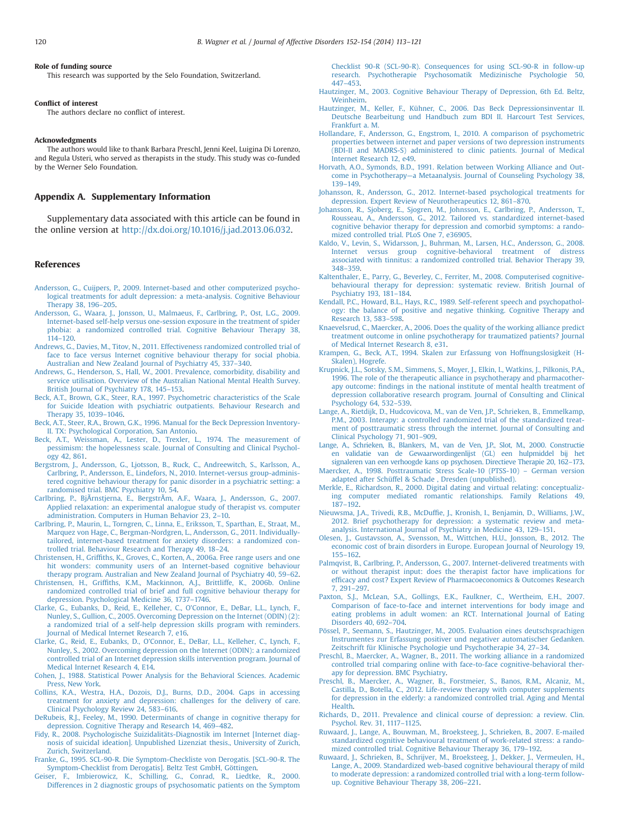#### <span id="page-7-0"></span>Role of funding source

This research was supported by the Selo Foundation, Switzerland.

#### Conflict of interest

The authors declare no conflict of interest.

#### Acknowledgments

The authors would like to thank Barbara Preschl, Jenni Keel, Luigina Di Lorenzo, and Regula Usteri, who served as therapists in the study. This study was co-funded by the Werner Selo Foundation.

#### Appendix A. Supplementary Information

Supplementary data associated with this article can be found in the online version at [http://dx.doi.org/10.1016/j.jad.2013.06.032.](dx.doi.org/10.1016/j.jad.2013.06.032)

#### References

- [Andersson, G., Cuijpers, P., 2009. Internet-based and other computerized psycho](http://refhub.elsevier.com/S0165-0327(13)00512-0/sbref1)[logical treatments for adult depression: a meta-analysis. Cognitive Behaviour](http://refhub.elsevier.com/S0165-0327(13)00512-0/sbref1) [Therapy 38, 196](http://refhub.elsevier.com/S0165-0327(13)00512-0/sbref1)–205.
- [Andersson, G., Waara, J., Jonsson, U., Malmaeus, F., Carlbring, P., Ost, L.G., 2009.](http://refhub.elsevier.com/S0165-0327(13)00512-0/sbref2) [Internet-based self-help versus one-session exposure in the treatment of spider](http://refhub.elsevier.com/S0165-0327(13)00512-0/sbref2) [phobia: a randomized controlled trial. Cognitive Behaviour Therapy 38,](http://refhub.elsevier.com/S0165-0327(13)00512-0/sbref2) .<br>114–120
- [Andrews, G., Davies, M., Titov, N., 2011. Effectiveness randomized controlled trial of](http://refhub.elsevier.com/S0165-0327(13)00512-0/sbref3) [face to face versus Internet cognitive behaviour therapy for social phobia.](http://refhub.elsevier.com/S0165-0327(13)00512-0/sbref3) [Australian and New Zealand Journal of Psychiatry 45, 337](http://refhub.elsevier.com/S0165-0327(13)00512-0/sbref3)–340.
- [Andrews, G., Henderson, S., Hall, W., 2001. Prevalence, comorbidity, disability and](http://refhub.elsevier.com/S0165-0327(13)00512-0/sbref4) [service utilisation. Overview of the Australian National Mental Health Survey.](http://refhub.elsevier.com/S0165-0327(13)00512-0/sbref4) [British Journal of Psychiatry 178, 145](http://refhub.elsevier.com/S0165-0327(13)00512-0/sbref4)–153.
- [Beck, A.T., Brown, G.K., Steer, R.A., 1997. Psychometric characteristics of the Scale](http://refhub.elsevier.com/S0165-0327(13)00512-0/sbref5) [for Suicide Ideation with psychiatric outpatients. Behaviour Research and](http://refhub.elsevier.com/S0165-0327(13)00512-0/sbref5) [Therapy 35, 1039](http://refhub.elsevier.com/S0165-0327(13)00512-0/sbref5)–1046.
- [Beck, A.T., Steer, R.A., Brown, G.K., 1996. Manual for the Beck Depression Inventory-](http://refhub.elsevier.com/S0165-0327(13)00512-0/sbref6)[II. TX: Psychological Corporation, San Antonio.](http://refhub.elsevier.com/S0165-0327(13)00512-0/sbref6)
- [Beck, A.T., Weissman, A., Lester, D., Trexler, L., 1974. The measurement of](http://refhub.elsevier.com/S0165-0327(13)00512-0/sbref7) [pessimism: the hopelessness scale. Journal of Consulting and Clinical Psychol](http://refhub.elsevier.com/S0165-0327(13)00512-0/sbref7)[ogy 42, 861.](http://refhub.elsevier.com/S0165-0327(13)00512-0/sbref7)
- [Bergstrom, J., Andersson, G., Ljotsson, B., Ruck, C., Andreewitch, S., Karlsson, A.,](http://refhub.elsevier.com/S0165-0327(13)00512-0/sbref8) [Carlbring, P., Andersson, E., Lindefors, N., 2010. Internet-versus group-adminis](http://refhub.elsevier.com/S0165-0327(13)00512-0/sbref8)[tered cognitive behaviour therapy for panic disorder in a psychiatric setting: a](http://refhub.elsevier.com/S0165-0327(13)00512-0/sbref8) [randomised trial. BMC Psychiatry 10, 54.](http://refhub.elsevier.com/S0165-0327(13)00512-0/sbref8)
- [Carlbring, P., BjÃrnstjerna, E., BergstrÃm, A.F., Waara, J., Andersson, G., 2007.](http://refhub.elsevier.com/S0165-0327(13)00512-0/sbref9) [Applied relaxation: an experimental analogue study of therapist vs. computer](http://refhub.elsevier.com/S0165-0327(13)00512-0/sbref9) [administration. Computers in Human Behavior 23, 2](http://refhub.elsevier.com/S0165-0327(13)00512-0/sbref9)–10.
- [Carlbring, P., Maurin, L., Torngren, C., Linna, E., Eriksson, T., Sparthan, E., Straat, M.,](http://refhub.elsevier.com/S0165-0327(13)00512-0/sbref10) [Marquez von Hage, C., Bergman-Nordgren, L., Andersson, G., 2011. Individually](http://refhub.elsevier.com/S0165-0327(13)00512-0/sbref10)[tailored, internet-based treatment for anxiety disorders: a randomized con](http://refhub.elsevier.com/S0165-0327(13)00512-0/sbref10)[trolled trial. Behaviour Research and Therapy 49, 18](http://refhub.elsevier.com/S0165-0327(13)00512-0/sbref10)–24.
- Christensen, H., Griffi[ths, K., Groves, C., Korten, A., 2006a. Free range users and one](http://refhub.elsevier.com/S0165-0327(13)00512-0/sbref11) [hit wonders: community users of an Internet-based cognitive behaviour](http://refhub.elsevier.com/S0165-0327(13)00512-0/sbref11) [therapy program. Australian and New Zealand Journal of Psychiatry 40, 59](http://refhub.elsevier.com/S0165-0327(13)00512-0/sbref11)–62.
- Christensen, H., Griffi[ths, K.M., Mackinnon, A.J., Brittliffe, K., 2006b. Online](http://refhub.elsevier.com/S0165-0327(13)00512-0/sbref12) [randomized controlled trial of brief and full cognitive behaviour therapy for](http://refhub.elsevier.com/S0165-0327(13)00512-0/sbref12) [depression. Psychological Medicine 36, 1737](http://refhub.elsevier.com/S0165-0327(13)00512-0/sbref12)–1746.
- [Clarke, G., Eubanks, D., Reid, E., Kelleher, C., O](http://refhub.elsevier.com/S0165-0327(13)00512-0/sbref13)'Connor, E., DeBar, L.L., Lynch, F., [Nunley, S., Gullion, C., 2005. Overcoming Depression on the Internet \(ODIN\) \(2\):](http://refhub.elsevier.com/S0165-0327(13)00512-0/sbref13) [a randomized trial of a self-help depression skills program with reminders.](http://refhub.elsevier.com/S0165-0327(13)00512-0/sbref13) [Journal of Medical Internet Research 7, e16.](http://refhub.elsevier.com/S0165-0327(13)00512-0/sbref13)
- Clarke, G., Reid, E., Eubanks, D., O'[Connor, E., DeBar, L.L., Kelleher, C., Lynch, F.,](http://refhub.elsevier.com/S0165-0327(13)00512-0/sbref14) [Nunley, S., 2002. Overcoming depression on the Internet \(ODIN\): a randomized](http://refhub.elsevier.com/S0165-0327(13)00512-0/sbref14) [controlled trial of an Internet depression skills intervention program. Journal of](http://refhub.elsevier.com/S0165-0327(13)00512-0/sbref14) [Medical Internet Research 4, E14.](http://refhub.elsevier.com/S0165-0327(13)00512-0/sbref14)
- [Cohen, J., 1988. Statistical Power Analysis for the Behavioral Sciences. Academic](http://refhub.elsevier.com/S0165-0327(13)00512-0/sbref15) [Press, New York.](http://refhub.elsevier.com/S0165-0327(13)00512-0/sbref15)
- [Collins, K.A., Westra, H.A., Dozois, D.J., Burns, D.D., 2004. Gaps in accessing](http://refhub.elsevier.com/S0165-0327(13)00512-0/sbref16) [treatment for anxiety and depression: challenges for the delivery of care.](http://refhub.elsevier.com/S0165-0327(13)00512-0/sbref16) [Clinical Psychology Review 24, 583](http://refhub.elsevier.com/S0165-0327(13)00512-0/sbref16)–616.
- [DeRubeis, R.J., Feeley, M., 1990. Determinants of change in cognitive therapy for](http://refhub.elsevier.com/S0165-0327(13)00512-0/sbref17) [depression. Cognitive Therapy and Research 14, 469](http://refhub.elsevier.com/S0165-0327(13)00512-0/sbref17)–482.
- [Fidy, R., 2008. Psychologische Suizidalitäts-Diagnostik im Internet \[Internet diag](http://refhub.elsevier.com/S0165-0327(13)00512-0/othref0005)[nosis of suicidal ideation\]. Unpublished Lizenziat thesis., University of Zurich,](http://refhub.elsevier.com/S0165-0327(13)00512-0/othref0005) [Zurich, Switzerland.](http://refhub.elsevier.com/S0165-0327(13)00512-0/othref0005)
- [Franke, G., 1995. SCL-90-R. Die Symptom-Checkliste von Derogatis. \[SCL-90-R. The](http://refhub.elsevier.com/S0165-0327(13)00512-0/sbref18) [Symptom-Checklist from Derogatis\]. Beltz Test GmbH, Göttingen.](http://refhub.elsevier.com/S0165-0327(13)00512-0/sbref18)
- [Geiser, F., Imbierowicz, K., Schilling, G., Conrad, R., Liedtke, R., 2000.](http://refhub.elsevier.com/S0165-0327(13)00512-0/sbref19) [Differences in 2 diagnostic groups of psychosomatic patients on the Symptom](http://refhub.elsevier.com/S0165-0327(13)00512-0/sbref19)

[Checklist 90-R \(SCL-90-R\). Consequences for using SCL-90-R in follow-up](http://refhub.elsevier.com/S0165-0327(13)00512-0/sbref19) research. Psychotherapie Psychosomatik Medizinische Psychologie 447–[453.](http://refhub.elsevier.com/S0165-0327(13)00512-0/sbref19)

- [Hautzinger, M., 2003. Cognitive Behaviour Therapy of Depression, 6th Ed. Beltz,](http://refhub.elsevier.com/S0165-0327(13)00512-0/sbref20) [Weinheim.](http://refhub.elsevier.com/S0165-0327(13)00512-0/sbref20)
- [Hautzinger, M., Keller, F., Kühner, C., 2006. Das Beck Depressionsinventar II.](http://refhub.elsevier.com/S0165-0327(13)00512-0/othref0015) [Deutsche Bearbeitung und Handbuch zum BDI II. Harcourt Test Services,](http://refhub.elsevier.com/S0165-0327(13)00512-0/othref0015) [Frankfurt a. M.](http://refhub.elsevier.com/S0165-0327(13)00512-0/othref0015)
- [Hollandare, F., Andersson, G., Engstrom, I., 2010. A comparison of psychometric](http://refhub.elsevier.com/S0165-0327(13)00512-0/sbref21) [properties between internet and paper versions of two depression instruments](http://refhub.elsevier.com/S0165-0327(13)00512-0/sbref21) [\(BDI-II and MADRS-S\) administered to clinic patients. Journal of Medical](http://refhub.elsevier.com/S0165-0327(13)00512-0/sbref21) [Internet Research 12, e49.](http://refhub.elsevier.com/S0165-0327(13)00512-0/sbref21)
- [Horvath, A.O., Symonds, B.D., 1991. Relation between Working Alliance and Out](http://refhub.elsevier.com/S0165-0327(13)00512-0/sbref22)come in Psychotherapy—[a Metaanalysis. Journal of Counseling Psychology 38,](http://refhub.elsevier.com/S0165-0327(13)00512-0/sbref22) 139–[149.](http://refhub.elsevier.com/S0165-0327(13)00512-0/sbref22)
- [Johansson, R., Andersson, G., 2012. Internet-based psychological treatments for](http://refhub.elsevier.com/S0165-0327(13)00512-0/sbref23) [depression. Expert Review of Neurotherapeutics 12, 861](http://refhub.elsevier.com/S0165-0327(13)00512-0/sbref23)–870.
- [Johansson, R., Sjoberg, E., Sjogren, M., Johnsson, E., Carlbring, P., Andersson, T.,](http://refhub.elsevier.com/S0165-0327(13)00512-0/sbref24) [Rousseau, A., Andersson, G., 2012. Tailored vs. standardized internet-based](http://refhub.elsevier.com/S0165-0327(13)00512-0/sbref24) [cognitive behavior therapy for depression and comorbid symptoms: a rando](http://refhub.elsevier.com/S0165-0327(13)00512-0/sbref24)[mized controlled trial. PLoS One 7, e36905.](http://refhub.elsevier.com/S0165-0327(13)00512-0/sbref24)
- [Kaldo, V., Levin, S., Widarsson, J., Buhrman, M., Larsen, H.C., Andersson, G., 2008.](http://refhub.elsevier.com/S0165-0327(13)00512-0/sbref25) versus group cognitive-behavioral treatment of distress [associated with tinnitus: a randomized controlled trial. Behavior Therapy 39,](http://refhub.elsevier.com/S0165-0327(13)00512-0/sbref25) 348–[359.](http://refhub.elsevier.com/S0165-0327(13)00512-0/sbref25)
- [Kaltenthaler, E., Parry, G., Beverley, C., Ferriter, M., 2008. Computerised cognitive](http://refhub.elsevier.com/S0165-0327(13)00512-0/sbref26)[behavioural therapy for depression: systematic review. British Journal of](http://refhub.elsevier.com/S0165-0327(13)00512-0/sbref26) [Psychiatry 193, 181](http://refhub.elsevier.com/S0165-0327(13)00512-0/sbref26)–184.
- [Kendall, P.C., Howard, B.L., Hays, R.C., 1989. Self-referent speech and psychopathol](http://refhub.elsevier.com/S0165-0327(13)00512-0/sbref27)[ogy: the balance of positive and negative thinking. Cognitive Therapy and](http://refhub.elsevier.com/S0165-0327(13)00512-0/sbref27) [Research 13, 583](http://refhub.elsevier.com/S0165-0327(13)00512-0/sbref27)–598.
- [Knaevelsrud, C., Maercker, A., 2006. Does the quality of the working alliance predict](http://refhub.elsevier.com/S0165-0327(13)00512-0/sbref28) [treatment outcome in online psychotherapy for traumatized patients? Journal](http://refhub.elsevier.com/S0165-0327(13)00512-0/sbref28) [of Medical Internet Research 8, e31.](http://refhub.elsevier.com/S0165-0327(13)00512-0/sbref28)
- [Krampen, G., Beck, A.T., 1994. Skalen zur Erfassung von Hoffnungslosigkeit \(H-](http://refhub.elsevier.com/S0165-0327(13)00512-0/othref0020)[Skalen\), Hogrefe.](http://refhub.elsevier.com/S0165-0327(13)00512-0/othref0020)
- [Krupnick, J.L., Sotsky, S.M., Simmens, S., Moyer, J., Elkin, I., Watkins, J., Pilkonis, P.A.,](http://refhub.elsevier.com/S0165-0327(13)00512-0/sbref29) [1996. The role of the therapeutic alliance in psychotherapy and pharmacother](http://refhub.elsevier.com/S0165-0327(13)00512-0/sbref29)apy outcome: fi[ndings in the national institute of mental health treatment of](http://refhub.elsevier.com/S0165-0327(13)00512-0/sbref29) [depression collaborative research program. Journal of Consulting and Clinical](http://refhub.elsevier.com/S0165-0327(13)00512-0/sbref29) [Psychology 64, 532](http://refhub.elsevier.com/S0165-0327(13)00512-0/sbref29)–539.
- [Lange, A., Rietdijk, D., Hudcovicova, M., van de Ven, J.P., Schrieken, B., Emmelkamp,](http://refhub.elsevier.com/S0165-0327(13)00512-0/sbref30) [P.M., 2003. Interapy: a controlled randomized trial of the standardized treat](http://refhub.elsevier.com/S0165-0327(13)00512-0/sbref30)[ment of posttraumatic stress through the internet. Journal of Consulting and](http://refhub.elsevier.com/S0165-0327(13)00512-0/sbref30) [Clinical Psychology 71, 901](http://refhub.elsevier.com/S0165-0327(13)00512-0/sbref30)–909.
- [Lange, A., Schrieken, B., Blankers, M., van de Ven, J.P., Slot, M., 2000. Constructie](http://refhub.elsevier.com/S0165-0327(13)00512-0/sbref31) [en validatie van de Gewaarwordingenlijst \(GL\) een hulpmiddel bij het](http://refhub.elsevier.com/S0165-0327(13)00512-0/sbref31) [signaleren van een verhoogde kans op psychosen. Directieve Therapie 20, 162](http://refhub.elsevier.com/S0165-0327(13)00512-0/sbref31)–173.

[Maercker, A., 1998. Posttraumatic Stress Scale-10 \(PTSS-10\)](http://refhub.elsevier.com/S0165-0327(13)00512-0/othref0025) – German version [adapted after Schüffel](http://refhub.elsevier.com/S0165-0327(13)00512-0/othref0025) & [Schade , Dresden \(unpublished\).](http://refhub.elsevier.com/S0165-0327(13)00512-0/othref0025)

- [Merkle, E., Richardson, R., 2000. Digital dating and virtual relating: conceptualiz](http://refhub.elsevier.com/S0165-0327(13)00512-0/sbref32)[ing computer mediated romantic relationships. Family Relations 49,](http://refhub.elsevier.com/S0165-0327(13)00512-0/sbref32) 187–[192.](http://refhub.elsevier.com/S0165-0327(13)00512-0/sbref32)
- Nieuwsma, J.A., Trivedi, R.B., McDuffi[e, J., Kronish, I., Benjamin, D., Williams, J.W.,](http://refhub.elsevier.com/S0165-0327(13)00512-0/sbref33) [2012. Brief psychotherapy for depression: a systematic review and meta](http://refhub.elsevier.com/S0165-0327(13)00512-0/sbref33)[analysis. International Journal of Psychiatry in Medicine 43, 129](http://refhub.elsevier.com/S0165-0327(13)00512-0/sbref33)–151.
- [Olesen, J., Gustavsson, A., Svensson, M., Wittchen, H.U., Jonsson, B., 2012. The](http://refhub.elsevier.com/S0165-0327(13)00512-0/sbref34) [economic cost of brain disorders in Europe. European Journal of Neurology 19,](http://refhub.elsevier.com/S0165-0327(13)00512-0/sbref34) 155–[162.](http://refhub.elsevier.com/S0165-0327(13)00512-0/sbref34)
- [Palmqvist, B., Carlbring, P., Andersson, G., 2007. Internet-delivered treatments with](http://refhub.elsevier.com/S0165-0327(13)00512-0/sbref35) [or without therapist input: does the therapist factor have implications for](http://refhub.elsevier.com/S0165-0327(13)00512-0/sbref35) effi[cacy and cost? Expert Review of Pharmacoeconomics](http://refhub.elsevier.com/S0165-0327(13)00512-0/sbref35) & [Outcomes Research](http://refhub.elsevier.com/S0165-0327(13)00512-0/sbref35) [7, 291](http://refhub.elsevier.com/S0165-0327(13)00512-0/sbref35)–297.
- [Paxton, S.J., McLean, S.A., Gollings, E.K., Faulkner, C., Wertheim, E.H., 2007.](http://refhub.elsevier.com/S0165-0327(13)00512-0/sbref36) [Comparison of face-to-face and internet interventions for body image and](http://refhub.elsevier.com/S0165-0327(13)00512-0/sbref36) [eating problems in adult women: an RCT. International Journal of Eating](http://refhub.elsevier.com/S0165-0327(13)00512-0/sbref36) [Disorders 40, 692](http://refhub.elsevier.com/S0165-0327(13)00512-0/sbref36)–704.
- [Pössel, P., Seemann, S., Hautzinger, M., 2005. Evaluation eines deutschsprachigen](http://refhub.elsevier.com/S0165-0327(13)00512-0/sbref37) [Instrumentes zur Erfassung positiver und negativer automatischer Gedanken.](http://refhub.elsevier.com/S0165-0327(13)00512-0/sbref37) [Zeitschrift für Klinische Psychologie und Psychotherapie 34, 27](http://refhub.elsevier.com/S0165-0327(13)00512-0/sbref37)–34.
- [Preschl, B., Maercker, A., Wagner, B., 2011. The working alliance in a randomized](http://refhub.elsevier.com/S0165-0327(13)00512-0/sbref38) [controlled trial comparing online with face-to-face cognitive-behavioral ther](http://refhub.elsevier.com/S0165-0327(13)00512-0/sbref38)[apy for depression. BMC Psychiatry.](http://refhub.elsevier.com/S0165-0327(13)00512-0/sbref38)
- [Preschl, B., Maercker, A., Wagner, B., Forstmeier, S., Banos, R.M., Alcaniz, M.,](http://refhub.elsevier.com/S0165-0327(13)00512-0/sbref39) [Castilla, D., Botella, C., 2012. Life-review therapy with computer supplements](http://refhub.elsevier.com/S0165-0327(13)00512-0/sbref39) [for depression in the elderly: a randomized controlled trial. Aging and Mental](http://refhub.elsevier.com/S0165-0327(13)00512-0/sbref39) [Health.](http://refhub.elsevier.com/S0165-0327(13)00512-0/sbref39)
- [Richards, D., 2011. Prevalence and clinical course of depression: a review. Clin.](http://refhub.elsevier.com/S0165-0327(13)00512-0/sbref40) [Psychol. Rev. 31, 1117](http://refhub.elsevier.com/S0165-0327(13)00512-0/sbref40)–1125.
- [Ruwaard, J., Lange, A., Bouwman, M., Broeksteeg, J., Schrieken, B., 2007. E-mailed](http://refhub.elsevier.com/S0165-0327(13)00512-0/sbref41) [standardized cognitive behavioural treatment of work-related stress: a rando](http://refhub.elsevier.com/S0165-0327(13)00512-0/sbref41)[mized controlled trial. Cognitive Behaviour Therapy 36, 179](http://refhub.elsevier.com/S0165-0327(13)00512-0/sbref41)–192.
- [Ruwaard, J., Schrieken, B., Schrijver, M., Broeksteeg, J., Dekker, J., Vermeulen, H.,](http://refhub.elsevier.com/S0165-0327(13)00512-0/sbref42) [Lange, A., 2009. Standardized web-based cognitive behavioural therapy of mild](http://refhub.elsevier.com/S0165-0327(13)00512-0/sbref42) [to moderate depression: a randomized controlled trial with a long-term follow](http://refhub.elsevier.com/S0165-0327(13)00512-0/sbref42)[up. Cognitive Behaviour Therapy 38, 206](http://refhub.elsevier.com/S0165-0327(13)00512-0/sbref42)–221.